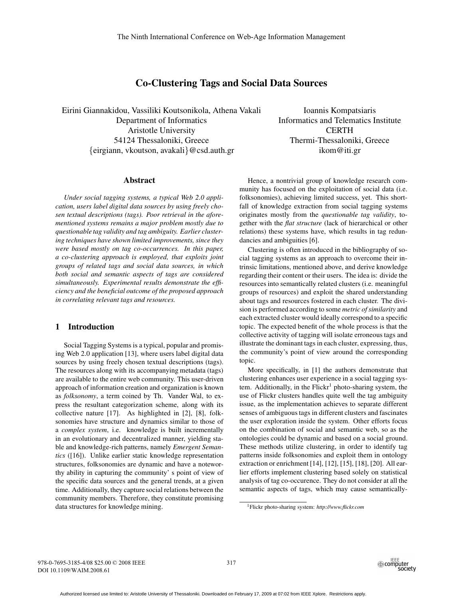## **Co-Clustering Tags and Social Data Sources**

Eirini Giannakidou, Vassiliki Koutsonikola, Athena Vakali Department of Informatics Aristotle University 54124 Thessaloniki, Greece {eirgiann, vkoutson, avakali}@csd.auth.gr

**Abstract**

*Under social tagging systems, a typical Web 2.0 application, users label digital data sources by using freely chosen textual descriptions (tags). Poor retrieval in the aforementioned systems remains a major problem mostly due to questionable tag validity and tag ambiguity. Earlier clustering techniques have shown limited improvements, since they were based mostly on tag co-occurrences. In this paper, a co-clustering approach is employed, that exploits joint groups of related tags and social data sources, in which both social and semantic aspects of tags are considered simultaneously. Experimental results demonstrate the efficiency and the beneficial outcome of the proposed approach in correlating relevant tags and resources.*

#### **1 Introduction**

Social Tagging Systems is a typical, popular and promising Web 2.0 application [13], where users label digital data sources by using freely chosen textual descriptions (tags). The resources along with its accompanying metadata (tags) are available to the entire web community. This user-driven approach of information creation and organization is known as *folksonomy*, a term coined by Th. Vander Wal, to express the resultant categorization scheme, along with its collective nature [17]. As highlighted in [2], [8], folksonomies have structure and dynamics similar to those of a *complex system*, i.e. knowledge is built incrementally in an evolutionary and decentralized manner, yielding stable and knowledge-rich patterns, namely *Emergent Semantics* ([16]). Unlike earlier static knowledge representation structures, folksonomies are dynamic and have a noteworthy ability in capturing the community' s point of view of the specific data sources and the general trends, at a given time. Additionally, they capture social relations between the community members. Therefore, they constitute promising data structures for knowledge mining.

Ioannis Kompatsiaris Informatics and Telematics Institute **CERTH** Thermi-Thessaloniki, Greece ikom@iti.gr

Hence, a nontrivial group of knowledge research community has focused on the exploitation of social data (i.e. folksonomies), achieving limited success, yet. This shortfall of knowledge extraction from social tagging systems originates mostly from the *questionable tag validity*, together with the *flat structure* (lack of hierarchical or other relations) these systems have, which results in tag redundancies and ambiguities [6].

Clustering is often introduced in the bibliography of social tagging systems as an approach to overcome their intrinsic limitations, mentioned above, and derive knowledge regarding their content or their users. The idea is: divide the resources into semantically related clusters (i.e. meaningful groups of resources) and exploit the shared understanding about tags and resources fostered in each cluster. The division is performed according to some *metric of similarity* and each extracted cluster would ideally correspond to a specific topic. The expected benefit of the whole process is that the collective activity of tagging will isolate erroneous tags and illustrate the dominant tags in each cluster, expressing, thus, the community's point of view around the corresponding topic.

More specifically, in [1] the authors demonstrate that clustering enhances user experience in a social tagging system. Additionally, in the  $Flickr<sup>1</sup>$  photo-sharing system, the use of Flickr clusters handles quite well the tag ambiguity issue, as the implementation achieves to separate different senses of ambiguous tags in different clusters and fascinates the user exploration inside the system. Other efforts focus on the combination of social and semantic web, so as the ontologies could be dynamic and based on a social ground. These methods utilize clustering, in order to identify tag patterns inside folksonomies and exploit them in ontology extraction or enrichment [14], [12], [15], [18], [20]. All earlier efforts implement clustering based solely on statistical analysis of tag co-occurence. They do not consider at all the semantic aspects of tags, which may cause semantically-



<sup>1</sup>Flickr photo-sharing system: *http://www.flickr.com*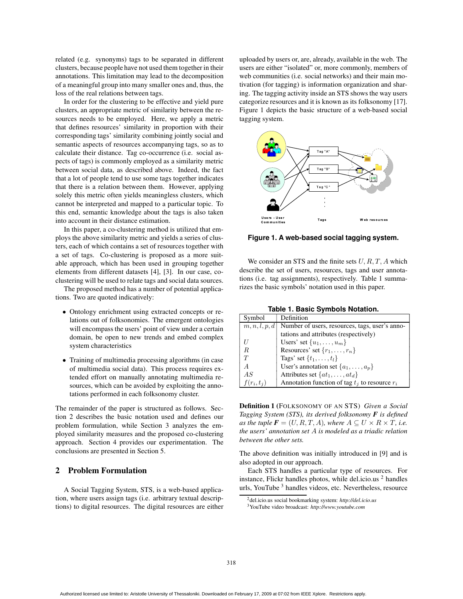related (e.g. synonyms) tags to be separated in different clusters, because people have not used them together in their annotations. This limitation may lead to the decomposition of a meaningful group into many smaller ones and, thus, the loss of the real relations between tags.

In order for the clustering to be effective and yield pure clusters, an appropriate metric of similarity between the resources needs to be employed. Here, we apply a metric that defines resources' similarity in proportion with their corresponding tags' similarity combining jointly social and semantic aspects of resources accompanying tags, so as to calculate their distance. Tag co-occurrence (i.e. social aspects of tags) is commonly employed as a similarity metric between social data, as described above. Indeed, the fact that a lot of people tend to use some tags together indicates that there is a relation between them. However, applying solely this metric often yields meaningless clusters, which cannot be interpreted and mapped to a particular topic. To this end, semantic knowledge about the tags is also taken into account in their distance estimation.

In this paper, a co-clustering method is utilized that employs the above similarity metric and yields a series of clusters, each of which contains a set of resources together with a set of tags. Co-clustering is proposed as a more suitable approach, which has been used in grouping together elements from different datasets [4], [3]. In our case, coclustering will be used to relate tags and social data sources.

The proposed method has a number of potential applications. Two are quoted indicatively:

- Ontology enrichment using extracted concepts or relations out of folksonomies. The emergent ontologies will encompass the users' point of view under a certain domain, be open to new trends and embed complex system characteristics
- Training of multimedia processing algorithms (in case of multimedia social data). This process requires extended effort on manually annotating multimedia resources, which can be avoided by exploiting the annotations performed in each folksonomy cluster.

The remainder of the paper is structured as follows. Section 2 describes the basic notation used and defines our problem formulation, while Section 3 analyzes the employed similarity measures and the proposed co-clustering approach. Section 4 provides our experimentation. The conclusions are presented in Section 5.

### **2 Problem Formulation**

A Social Tagging System, STS, is a web-based application, where users assign tags (i.e. arbitrary textual descriptions) to digital resources. The digital resources are either uploaded by users or, are, already, available in the web. The users are either "isolated" or, more commonly, members of web communities (i.e. social networks) and their main motivation (for tagging) is information organization and sharing. The tagging activity inside an STS shows the way users categorize resources and it is known as its folksonomy [17]. Figure 1 depicts the basic structure of a web-based social tagging system.



**Figure 1. A web-based social tagging system.**

We consider an STS and the finite sets  $U, R, T, A$  which describe the set of users, resources, tags and user annotations (i.e. tag assignments), respectively. Table 1 summarizes the basic symbols' notation used in this paper.

**Table 1. Basic Symbols Notation.**

| Symbol           | Definition                                         |
|------------------|----------------------------------------------------|
| m, n, l, p, d    | Number of users, resources, tags, user's anno-     |
|                  | tations and attributes (respectively)              |
|                  | Users' set $\{u_1, \ldots, u_m\}$                  |
| $\boldsymbol{R}$ | Resources' set $\{r_1, \ldots, r_n\}$              |
| T                | Tags' set $\{t_1, \ldots, t_l\}$                   |
|                  | User's annotation set $\{a_1, \ldots, a_p\}$       |
| AS               | Attributes set $\{at_1, \ldots, at_d\}$            |
| $f(r_i,t_i)$     | Annotation function of tag $t_i$ to resource $r_i$ |

**Definition 1 (**FOLKSONOMY OF AN STS) *Given a Social Tagging System (STS), its derived folksonomy F is defined as the tuple*  $\mathbf{F} = (U, R, T, A)$ *, where*  $A \subseteq U \times R \times T$ *, i.e. the users' annotation set* A *is modeled as a triadic relation between the other sets.*

The above definition was initially introduced in [9] and is also adopted in our approach.

Each STS handles a particular type of resources. For instance, Flickr handles photos, while del.icio.us  $2$  handles urls, YouTube <sup>3</sup> handles videos, etc. Nevertheless, resource

<sup>2</sup>del.icio.us social bookmarking system: *http://del.icio.us* 3YouTube video broadcast: *http://www.youtube.com*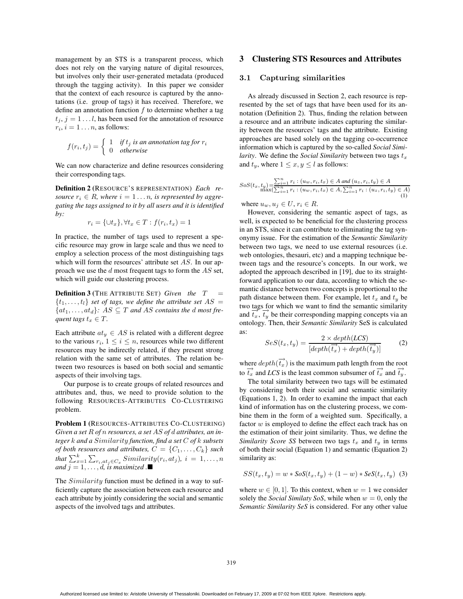management by an STS is a transparent process, which does not rely on the varying nature of digital resources, but involves only their user-generated metadata (produced through the tagging activity). In this paper we consider that the context of each resource is captured by the annotations (i.e. group of tags) it has received. Therefore, we define an annotation function  $f$  to determine whether a tag  $t_i$ ,  $j = 1...l$ , has been used for the annotation of resource  $r_i$ ,  $i = 1 \dots n$ , as follows:

$$
f(r_i, t_j) = \begin{cases} 1 & if t_j \text{ is an annotation tag for } r_i \\ 0 & otherwise \end{cases}
$$

We can now characterize and define resources considering their corresponding tags.

**Definition 2 (**RESOURCE'S REPRESENTATION) *Each resource*  $r_i \in R$ *, where*  $i = 1 \ldots n$ *, is represented by aggregating the tags assigned to it by all users and it is identified by:*

$$
r_i = \{\cup t_x\}, \forall t_x \in T : f(r_i, t_x) = 1
$$

In practice, the number of tags used to represent a specific resource may grow in large scale and thus we need to employ a selection process of the most distinguishing tags which will form the resources' attribute set  $AS$ . In our approach we use the  $d$  most frequent tags to form the  $AS$  set, which will guide our clustering process.

**Definition 3 (THE ATTRIBUTE SET)** *Given the* T  $\{t_1,\ldots,t_l\}$  *set of tags, we define the attribute set*  $AS =$  ${a_1, \ldots, a_t}$ : AS  $\subseteq T$  *and AS contains the d most frequent tags*  $t_x \in T$ *.* 

Each attribute  $at_y \in AS$  is related with a different degree to the various  $r_i$ ,  $1 \leq i \leq n$ , resources while two different resources may be indirectly related, if they present strong relation with the same set of attributes. The relation between two resources is based on both social and semantic aspects of their involving tags.

Our purpose is to create groups of related resources and attributes and, thus, we need to provide solution to the following RESOURCES-ATTRIBUTES CO-CLUSTERING problem.

**Problem 1 (**RESOURCES-ATTRIBUTES CO-CLUSTERING) *Given a set* R *of* n *resources, a set* AS *of* d *attributes, an integer* k *and a* Similarity *function, find a set* C *of* k *subsets of both resources and attributes,*  $C = \{C_1, \ldots, C_k\}$  *such that*  $\sum_{x=1}^{k} \sum_{r_i, at_j \in C_x} Similarity(r_i, at_j), i = 1, ..., n$ and  $\overline{j} = 1, \ldots, d$ , is maximized . $\blacksquare$ 

The *Similarity* function must be defined in a way to sufficiently capture the association between each resource and each attribute by jointly considering the social and semantic aspects of the involved tags and attributes.

#### **3 Clustering STS Resources and Attributes**

#### **3.1 Capturing similarities**

As already discussed in Section 2, each resource is represented by the set of tags that have been used for its annotation (Definition 2). Thus, finding the relation between a resource and an attribute indicates capturing the similarity between the resources' tags and the attribute. Existing approaches are based solely on the tagging co-occurrence information which is captured by the so-called *Social Similarity*. We define the *Social Similarity* between two tags  $t_x$ and  $t_y$ , where  $1 \le x, y \le l$  as follows:

$$
SoS(t_x, t_y) = \frac{\sum_{i=1}^{n} r_i : (u_w, r_i, t_x) \in A \text{ and } (u_z, r_i, t_y) \in A}{\max(\sum_{i=1}^{n} r_i : (u_w, r_i, t_x) \in A, \sum_{i=1}^{n} r_i : (u_z, r_i, t_y) \in A)}
$$
(1)

where  $u_w, u_j \in U, r_i \in R$ .

However, considering the semantic aspect of tags, as well, is expected to be beneficial for the clustering process in an STS, since it can contribute to eliminating the tag synonymy issue. For the estimation of the *Semantic Similarity* between two tags, we need to use external resources (i.e. web ontologies, thesauri, etc) and a mapping technique between tags and the resource's concepts. In our work, we adopted the approach described in [19], due to its straightforward application to our data, according to which the semantic distance between two concepts is proportional to the path distance between them. For example, let  $t_x$  and  $t_y$  be two tags for which we want to find the semantic similarity and  $\overrightarrow{t_x}$ ,  $\overrightarrow{t_y}$  be their corresponding mapping concepts via an ontology. Then, their *Semantic Similarity* SeS is calculated as:

$$
SeS(t_x, t_y) = \frac{2 \times depth(LCS)}{[depth(\overrightarrow{t_x}) + depth(\overrightarrow{t_y})]} \tag{2}
$$

where  $depth(\overrightarrow{t_x})$  is the maximum path length from the root to  $\overrightarrow{t_x}$  and *LCS* is the least common subsumer of  $\overrightarrow{t_x}$  and  $\overrightarrow{t_y}$ .

The total similarity between two tags will be estimated by considering both their social and semantic similarity (Equations 1, 2). In order to examine the impact that each kind of information has on the clustering process, we combine them in the form of a weighted sum. Specifically, a factor w is employed to define the effect each track has on the estimation of their joint similarity. Thus, we define the *Similarity Score SS* between two tags  $t_x$  and  $t_y$  in terms of both their social (Equation 1) and semantic (Equation 2) similarity as:

$$
SS(t_x, t_y) = w * SoS(t_x, t_y) + (1 - w) * SeS(t_x, t_y)
$$
 (3)

where  $w \in [0, 1]$ . To this context, when  $w = 1$  we consider solely the *Social Similaty SoS*, while when  $w = 0$ , only the *Semantic Similarity SeS* is considered. For any other value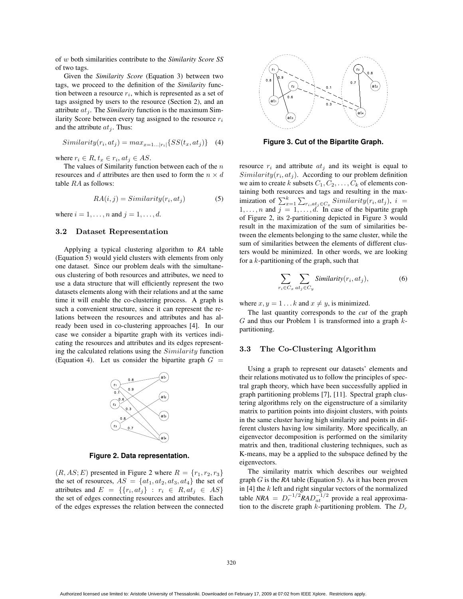of w both similarities contribute to the *Similarity Score SS* of two tags.

Given the *Similarity Score* (Equation 3) between two tags, we proceed to the definition of the *Similarity* function between a resource  $r_i$ , which is represented as a set of tags assigned by users to the resource (Section 2), and an attribute  $at_i$ . The *Similarity* function is the maximum Similarity Score between every tag assigned to the resource  $r_i$ and the attribute  $at_i$ . Thus:

$$
Similarity(r_i, at_j) = max_{x=1...|r_i|} \{ SS(t_x, at_j) \} \quad (4)
$$

where  $r_i \in R$ ,  $t_x \in r_i$ ,  $at_j \in AS$ .

The values of Similarity function between each of the  $n$ resources and d attributes are then used to form the  $n \times d$ table RA as follows:

$$
RA(i, j) = Similarity(r_i, at_j)
$$
\n<sup>(5)</sup>

where  $i = 1, \ldots, n$  and  $j = 1, \ldots, d$ .

# **3.2 Dataset Representation**

Applying a typical clustering algorithm to *RA* table (Equation 5) would yield clusters with elements from only one dataset. Since our problem deals with the simultaneous clustering of both resources and attributes, we need to use a data structure that will efficiently represent the two datasets elements along with their relations and at the same time it will enable the co-clustering process. A graph is such a convenient structure, since it can represent the relations between the resources and attributes and has already been used in co-clustering approaches [4]. In our case we consider a bipartite graph with its vertices indicating the resources and attributes and its edges representing the calculated relations using the Similarity function (Equation 4). Let us consider the bipartite graph  $G =$ 



**Figure 2. Data representation.**

 $(R, AS; E)$  presented in Figure 2 where  $R = \{r_1, r_2, r_3\}$ the set of resources,  $AS = \{at_1, at_2, at_3, at_4\}$  the set of attributes and  $E = \{ \{r_i, at_j\} : r_i \in R, at_j \in AS \}$ the set of edges connecting resources and attributes. Each of the edges expresses the relation between the connected



**Figure 3. Cut of the Bipartite Graph.**

resource  $r_i$  and attribute  $at_j$  and its weight is equal to  $Similarity(r_i, at_j)$ . According to our problem definition we aim to create k subsets  $C_1, C_2, \ldots, C_k$  of elements containing both resources and tags and resulting in the maximization of  $\sum_{x=1}^{k} \sum_{r_i, at_j \in C_x} Similarity(r_i, at_j), i =$  $1, \ldots, n$  and  $j = 1, \ldots, d$ . In case of the bipartite graph of Figure 2, its 2-partitioning depicted in Figure 3 would result in the maximization of the sum of similarities between the elements belonging to the same cluster, while the sum of similarities between the elements of different clusters would be minimized. In other words, we are looking for a k-partitioning of the graph, such that

$$
\sum_{r_i \in C_x} \sum_{at_j \in C_y} Similarity(r_i, at_j), \tag{6}
$$

where  $x, y = 1...k$  and  $x \neq y$ , is minimized.

The last quantity corresponds to the *cut* of the graph  $G$  and thus our Problem 1 is transformed into a graph  $k$ partitioning.

#### **3.3 The Co-Clustering Algorithm**

Using a graph to represent our datasets' elements and their relations motivated us to follow the principles of spectral graph theory, which have been successfully applied in graph partitioning problems [7], [11]. Spectral graph clustering algorithms rely on the eigenstructure of a similarity matrix to partition points into disjoint clusters, with points in the same cluster having high similarity and points in different clusters having low similarity. More specifically, an eigenvector decomposition is performed on the similarity matrix and then, traditional clustering techniques, such as K-means, may be a applied to the subspace defined by the eigenvectors.

The similarity matrix which describes our weighted graph G is the *RA* table (Equation 5). As it has been proven in  $[4]$  the k left and right singular vectors of the normalized table *NRA* =  $D_r^{-1/2}$ *RA* $D_{at}^{-1/2}$  provide a real approximation to the discrete graph k-partitioning problem. The  $D<sub>r</sub>$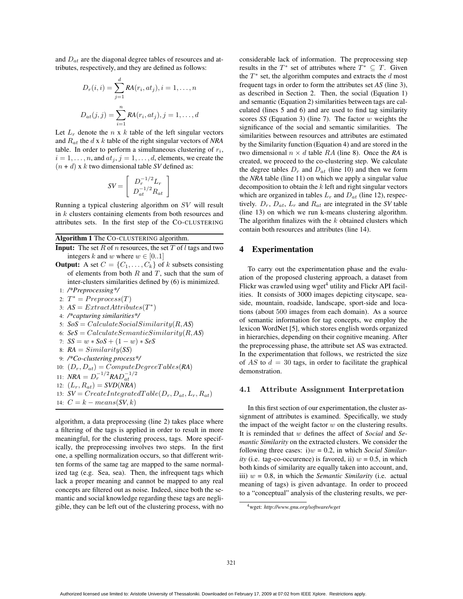and  $D_{at}$  are the diagonal degree tables of resources and attributes, respectively, and they are defined as follows:

$$
D_r(i, i) = \sum_{j=1}^d RA(r_i, at_j), i = 1, ..., n
$$
  

$$
D_{at}(j, j) = \sum_{i=1}^n RA(r_i, at_j), j = 1, ..., d
$$

Let  $L_r$  denote the n x k table of the left singular vectors and Rat the d x k table of the right singular vectors of *NRA* table. In order to perform a simultaneous clustering of  $r_i$ ,  $i = 1, \ldots, n$ , and  $at_j$ ,  $j = 1, \ldots, d$ , elements, we create the  $(n + d)$  x k two dimensional table *SV* defined as:

$$
SV = \left[ \begin{array}{c} D_r^{-1/2} L_r \\ D_{at}^{-1/2} R_{at} \end{array} \right]
$$

Running a typical clustering algorithm on SV will result in k clusters containing elements from both resources and attributes sets. In the first step of the CO-CLUSTERING

**Algorithm 1** The CO-CLUSTERING algorithm.

**Input:** The set  $R$  of  $n$  resources, the set  $T$  of  $l$  tags and two integers k and w where  $w \in [0..1]$ 

- **Output:** A set  $C = \{C_1, \ldots, C_k\}$  of k subsets consisting of elements from both  $R$  and  $T$ , such that the sum of inter-clusters similarities defined by (6) is minimized.
- 1: */\*Preprocessing\*/*
- 2:  $T^* = Preprocess(T)$
- 3:  $AS = ExtractAttributes(T^*)$
- 4: */\*capturing similarities\*/*
- 5:  $SoS = Calculate SocialSimilarity(R, AS)$
- 6:  $SeS = Calculate SemanticSimilarity(R, AS)$
- 7:  $SS = w * SoS + (1 w) * SeS$
- 8:  $RA = Similarity(SS)$
- 9: */\*Co-clustering process\*/*
- 10:  $(D_r, D_{at}) = ComputeDegreeTables(RA)$
- 11:  $NRA = D_r^{-1/2} RAD_{at}^{-1/2}$
- 12:  $(L_r, R_{at}) = SVD(NRA)$
- 13:  $SV = CreateIntegratedTable(D_r, D_{at}, L_r, R_{at})$
- 14:  $C = k means(SV, k)$

algorithm, a data preprocessing (line 2) takes place where a filtering of the tags is applied in order to result in more meaningful, for the clustering process, tags. More specifically, the preprocessing involves two steps. In the first one, a spelling normalization occurs, so that different written forms of the same tag are mapped to the same normalized tag (e.g. Sea, sea). Then, the infrequent tags which lack a proper meaning and cannot be mapped to any real concepts are filtered out as noise. Indeed, since both the semantic and social knowledge regarding these tags are negligible, they can be left out of the clustering process, with no considerable lack of information. The preprocessing step results in the  $T^*$  set of attributes where  $T^* \subseteq T$ . Given the  $T^*$  set, the algorithm computes and extracts the  $d$  most frequent tags in order to form the attributes set *AS* (line 3), as described in Section 2. Then, the social (Equation 1) and semantic (Equation 2) similarities between tags are calculated (lines 5 and 6) and are used to find tag similarity scores *SS* (Equation 3) (line 7). The factor w weights the significance of the social and semantic similarities. The similarities between resources and attributes are estimated by the Similarity function (Equation 4) and are stored in the two dimensional  $n \times d$  table RA (line 8). Once the RA is created, we proceed to the co-clustering step. We calculate the degree tables  $D_r$  and  $D_{at}$  (line 10) and then we form the *NRA* table (line 11) on which we apply a singular value decomposition to obtain the  $k$  left and right singular vectors which are organized in tables  $L_r$  and  $D_{at}$  (line 12), respectively.  $D_r$ ,  $D_{at}$ ,  $L_r$  and  $R_{at}$  are integrated in the *SV* table (line 13) on which we run k-means clustering algorithm. The algorithm finalizes with the  $k$  obtained clusters which contain both resources and attributes (line 14).

#### **4 Experimentation**

To carry out the experimentation phase and the evaluation of the proposed clustering approach, a dataset from Flickr was crawled using wget $4$  utility and Flickr API facilities. It consists of 3000 images depicting cityscape, seaside, mountain, roadside, landscape, sport-side and locations (about 500 images from each domain). As a source of semantic information for tag concepts, we employ the lexicon WordNet [5], which stores english words organized in hierarchies, depending on their cognitive meaning. After the preprocessing phase, the attribute set AS was extracted. In the experimentation that follows, we restricted the size of  $AS$  to  $d = 30$  tags, in order to facilitate the graphical demonstration.

#### **4.1 Attribute Assignment Interpretation**

In this first section of our experimentation, the cluster assignment of attributes is examined. Specifically, we study the impact of the weight factor  $w$  on the clustering results. It is reminded that w defines the affect of *Social* and *Semantic Similarity* on the extracted clusters. We consider the following three cases:  $i)w = 0.2$ , in which *Social Similarity* (i.e. tag-co-occurence) is favored, ii)  $w = 0.5$ , in which both kinds of similarity are equally taken into account, and, iii) w = 0.8, in which the *Semantic Similarity* (i.e. actual meaning of tags) is given advantage. In order to proceed to a "conceptual" analysis of the clustering results, we per-

<sup>4</sup>wget: *http://www.gnu.org/software/wget*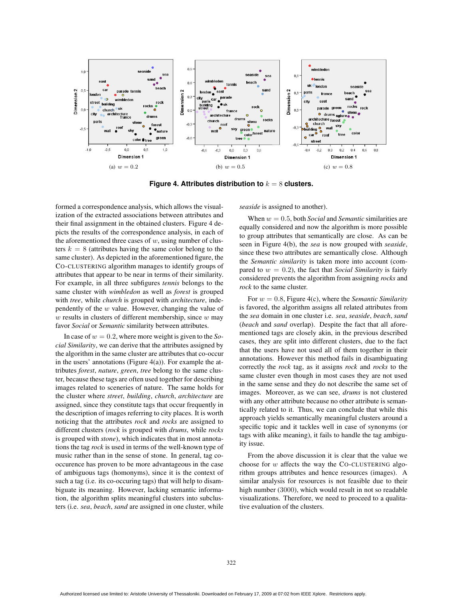

**Figure 4. Attributes distribution to**  $k = 8$  **clusters.** 

formed a correspondence analysis, which allows the visualization of the extracted associations between attributes and their final assignment in the obtained clusters. Figure 4 depicts the results of the correspondence analysis, in each of the aforementioned three cases of  $w$ , using number of clusters  $k = 8$  (attributes having the same color belong to the same cluster). As depicted in the aforementioned figure, the CO-CLUSTERING algorithm manages to identify groups of attributes that appear to be near in terms of their similarity. For example, in all three subfigures *tennis* belongs to the same cluster with *wimbledon* as well as *forest* is grouped with *tree*, while *church* is grouped with *architecture*, independently of the  $w$  value. However, changing the value of  $\bar{w}$  results in clusters of different membership, since  $w$  may favor *Social* or *Semantic* similarity between attributes.

In case of  $w = 0.2$ , where more weight is given to the *Social Similarity*, we can derive that the attributes assigned by the algorithm in the same cluster are attributes that co-occur in the users' annotations (Figure 4(a)). For example the attributes *forest*, *nature*, *green*, *tree* belong to the same cluster, because these tags are often used together for describing images related to sceneries of nature. The same holds for the cluster where *street*, *building*, *church*, *architecture* are assigned, since they constitute tags that occur frequently in the description of images referring to city places. It is worth noticing that the attributes *rock* and *rocks* are assigned to different clusters (*rock* is grouped with *drums*, while *rocks* is grouped with *stone*), which indicates that in most annotations the tag *rock* is used in terms of the well-known type of music rather than in the sense of stone. In general, tag cooccurence has proven to be more advantageous in the case of ambiguous tags (homonyms), since it is the context of such a tag (i.e. its co-occuring tags) that will help to disambiguate its meaning. However, lacking semantic information, the algorithm splits meaningful clusters into subclusters (i.e. *sea*, *beach*, *sand* are assigned in one cluster, while

*seaside* is assigned to another).

When w = 0.5, both *Social* and *Semantic* similarities are equally considered and now the algorithm is more possible to group attributes that semantically are close. As can be seen in Figure 4(b), the *sea* is now grouped with *seaside*, since these two attributes are semantically close. Although the *Semantic similarity* is taken more into account (compared to  $w = 0.2$ ), the fact that *Social Similarity* is fairly considered prevents the algorithm from assigning *rocks* and *rock* to the same cluster.

For w = 0.8, Figure 4(c), where the *Semantic Similarity* is favored, the algorithm assigns all related attributes from the *sea* domain in one cluster i.e. *sea*, *seaside*, *beach*, *sand* (*beach* and *sand* overlap). Despite the fact that all aforementioned tags are closely akin, in the previous described cases, they are split into different clusters, due to the fact that the users have not used all of them together in their annotations. However this method fails in disambiguating correctly the *rock* tag, as it assigns *rock* and *rocks* to the same cluster even though in most cases they are not used in the same sense and they do not describe the same set of images. Moreover, as we can see, *drums* is not clustered with any other attribute because no other attribute is semantically related to it. Thus, we can conclude that while this approach yields semantically meaningful clusters around a specific topic and it tackles well in case of synonyms (or tags with alike meaning), it fails to handle the tag ambiguity issue.

From the above discussion it is clear that the value we choose for  $w$  affects the way the CO-CLUSTERING algorithm groups attributes and hence resources (images). A similar analysis for resources is not feasible due to their high number (3000), which would result in not so readable visualizations. Therefore, we need to proceed to a qualitative evaluation of the clusters.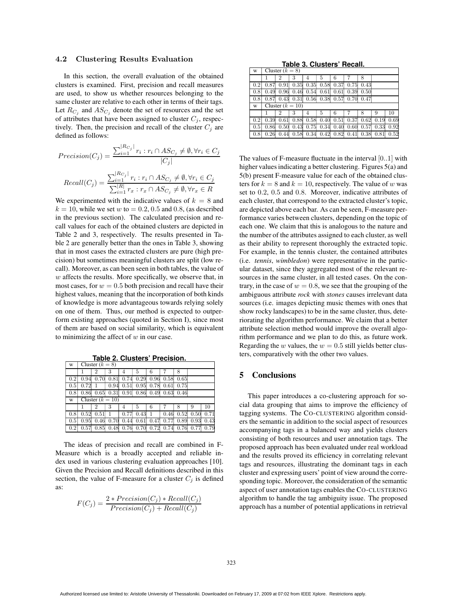# **4.2 Clustering Results Evaluation**

In this section, the overall evaluation of the obtained clusters is examined. First, precision and recall measures are used, to show us whether resources belonging to the same cluster are relative to each other in terms of their tags. Let  $R_{C_j}$  and  $AS_{C_j}$  denote the set of resources and the set of attributes that have been assigned to cluster  $C_j$ , respectively. Then, the precision and recall of the cluster  $C_j$  are defined as follows:

$$
Precision(C_j) = \frac{\sum_{i=1}^{|R_{C_j}|} r_i : r_i \cap AS_{C_j} \neq \emptyset, \forall r_i \in C_j}{|C_j|}
$$

$$
Recall(C_j) = \frac{\sum_{i=1}^{|R_{C_j}|} r_i : r_i \cap AS_{C_j} \neq \emptyset, \forall r_i \in C_j}{\sum_{i=1}^{|R|} r_i : r_i \cap AS_{C_j} \neq \emptyset, \forall r_x \in R}
$$

We experimented with the indicative values of  $k = 8$  and  $k = 10$ , while we set w to  $= 0.2, 0.5$  and 0.8, (as described in the previous section). The calculated precision and recall values for each of the obtained clusters are depicted in Table 2 and 3, respectively. The results presented in Table 2 are generally better than the ones in Table 3, showing that in most cases the extracted clusters are pure (high precision) but sometimes meaningful clusters are split (low recall). Moreover, as can been seen in both tables, the value of  $w$  affects the results. More specifically, we observe that, in most cases, for  $w = 0.5$  both precision and recall have their highest values, meaning that the incorporation of both kinds of knowledge is more advantageous towards relying solely on one of them. Thus, our method is expected to outperform existing approaches (quoted in Section I), since most of them are based on social similarity, which is equivalent to minimizing the affect of  $w$  in our case.

| W   | Cluster $(k = 8)$ |                    |      |      |                                                  |      |      |      |              |      |  |
|-----|-------------------|--------------------|------|------|--------------------------------------------------|------|------|------|--------------|------|--|
|     |                   |                    |      |      | 5                                                |      |      |      |              |      |  |
| 0.2 | 0.94              | 0.70               | 0.81 | 0.74 | 0.29                                             | 0.96 | 0.58 | 0.65 |              |      |  |
| 0.5 | 0.72              |                    | 0.94 | 0.51 | 0.95                                             | 0.78 | 0.61 | 0.75 |              |      |  |
| 0.8 |                   |                    |      |      | $0.86$ $0.65$ $0.31$ $0.91$ $0.86$ $0.49$ $0.63$ |      |      | 0.46 |              |      |  |
|     |                   | Cluster $(k = 10)$ |      |      |                                                  |      |      |      |              |      |  |
| W   |                   |                    |      |      |                                                  |      |      |      |              |      |  |
|     |                   | 2                  | 3    |      | 5                                                | 6    |      |      | 9            | 10   |  |
| 0.8 | 0.52              | 0.51               |      | 0.77 | 0.43                                             |      | 0.46 |      | $0.52\ 0.50$ | 0.71 |  |
| 0.5 | 0.95              | 0.46               | 0.70 | 0.44 | 0.61                                             | 0.47 | 0.77 | 0.89 | 0.93         | 0.43 |  |

**Table 2. Clusters' Precision.** 

The ideas of precision and recall are combined in F-Measure which is a broadly accepted and reliable index used in various clustering evaluation approaches [10]. Given the Precision and Recall definitions described in this section, the value of F-measure for a cluster  $C_j$  is defined as:

$$
F(C_j) = \frac{2 * Precision(C_j) * Recall(C_j)}{Precision(C_j) + Recall(C_j)}
$$

**Table 3. Clusters' Recall.** 

| W   | Cluster $(k = 8)$ |                    |  |  |                                                                |  |      |      |  |      |  |
|-----|-------------------|--------------------|--|--|----------------------------------------------------------------|--|------|------|--|------|--|
|     |                   |                    |  |  | 5                                                              |  |      |      |  |      |  |
| 0.2 | 0.87              |                    |  |  | $0.91$ $0.35$ $0.35$ $0.58$ $0.37$                             |  | 0.75 | 0.43 |  |      |  |
| 0.8 |                   |                    |  |  | $0.49$ 0.96 0.46 0.54 0.61 0.61 0.39                           |  |      | 0.50 |  |      |  |
| 0.8 |                   |                    |  |  | 0.87 0.43 0.31 0.56 0.38 0.57 0.70 0.47                        |  |      |      |  |      |  |
| W   |                   | Cluster $(k = 10)$ |  |  |                                                                |  |      |      |  |      |  |
|     |                   |                    |  |  | 5                                                              |  |      |      |  | 10   |  |
|     |                   |                    |  |  |                                                                |  |      |      |  |      |  |
| 0.2 |                   |                    |  |  | $0.39$ $0.61$ $0.88$ $0.58$ $0.40$ $0.51$ $0.37$ $0.62$ $0.19$ |  |      |      |  | 0.69 |  |
| 0.5 | 0.86              |                    |  |  | $0.50$ $0.43$ $0.75$ $0.34$ $0.40$ $0.60$ $0.57$ $0.33$        |  |      |      |  | 0.92 |  |

The values of F-measure fluctuate in the interval [0..1] with higher values indicating a better clustering. Figures 5(a) and 5(b) present F-measure value for each of the obtained clusters for  $k = 8$  and  $k = 10$ , respectively. The value of w was set to 0.2, 0.5 and 0.8. Moreover, indicative attributes of each cluster, that correspond to the extracted cluster's topic, are depicted above each bar. As can be seen, F-measure performance varies between clusters, depending on the topic of each one. We claim that this is analogous to the nature and the number of the attributes assigned to each cluster, as well as their ability to represent thoroughly the extracted topic. For example, in the tennis cluster, the contained attributes (i.e. *tennis*, *wimbledon*) were representative in the particular dataset, since they aggregated most of the relevant resources in the same cluster, in all tested cases. On the contrary, in the case of  $w = 0.8$ , we see that the grouping of the ambiguous attribute *rock* with *stones* causes irrelevant data sources (i.e. images depicting music themes with ones that show rocky landscapes) to be in the same cluster, thus, deteriorating the algorithm performance. We claim that a better attribute selection method would improve the overall algorithm performance and we plan to do this, as future work. Regarding the w values, the  $w = 0.5$  still yields better clusters, comparatively with the other two values.

#### **5 Conclusions**

This paper introduces a co-clustering approach for social data grouping that aims to improve the efficiency of tagging systems. The CO-CLUSTERING algorithm considers the semantic in addition to the social aspect of resources accompanying tags in a balanced way and yields clusters consisting of both resources and user annotation tags. The proposed approach has been evaluated under real workload and the results proved its efficiency in correlating relevant tags and resources, illustrating the dominant tags in each cluster and expressing users' point of view around the corresponding topic. Moreover, the consideration of the semantic aspect of user annotation tags enables the CO-CLUSTERING algorithm to handle the tag ambiguity issue. The proposed approach has a number of potential applications in retrieval